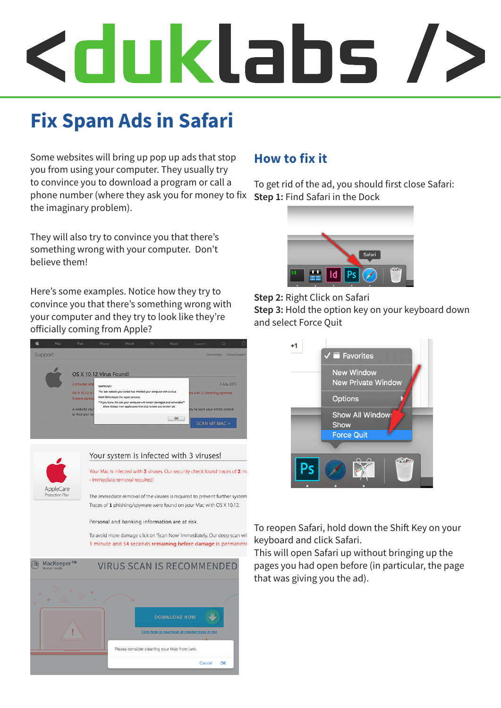# Kduklabs /

# **Fix Spam Ads in Safari**

Some websites will bring up pop up ads that stop you from using your computer. They usually try to convince you to download a program or call a phone number (where they ask you for money to fix the imaginary problem).

They will also try to convince you that there's something wrong with your computer. Don't believe them!

Here's some examples. Notice how they try to convince you that there's something wrong with your computer and they try to look like they're officially coming from Apple?





#### Your system is infected with 3 viruses! Your Mac is infected with 3 viruses. Our security check found traces of 2 m

- Immediate removal required!

The immediate removal of the viruses is required to prevent further system Traces of 1 phishing/spyware were found on your Mac with OS X 10.12.

#### Personal and banking information are at risk.

To avoid more damage click on 'Scan Now' immediately. Our deep scan wil 1 minute and 54 seconds remaining before damage is permanent



#### **How to fix it**

To get rid of the ad, you should first close Safari: **Step 1:** Find Safari in the Dock





**Step 3:** Hold the option key on your keyboard down and select Force Quit



To reopen Safari, hold down the Shift Key on your keyboard and click Safari.

This will open Safari up without bringing up the pages you had open before (in particular, the page that was giving you the ad).